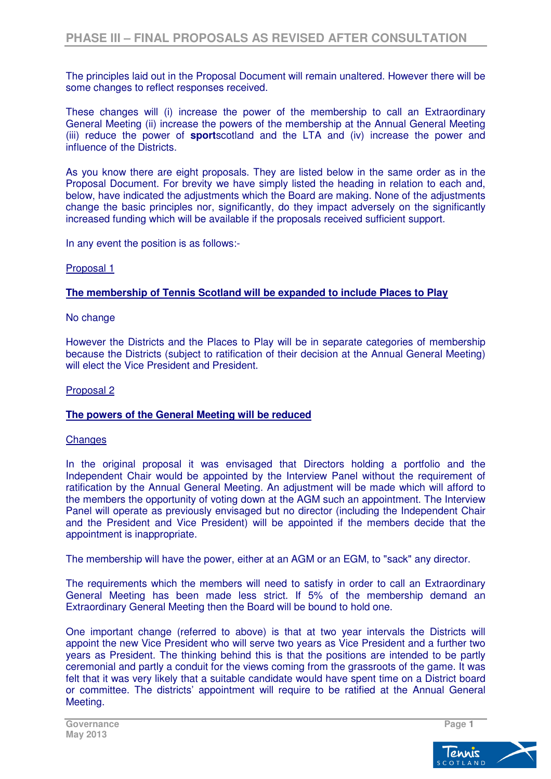The principles laid out in the Proposal Document will remain unaltered. However there will be some changes to reflect responses received.

These changes will (i) increase the power of the membership to call an Extraordinary General Meeting (ii) increase the powers of the membership at the Annual General Meeting (iii) reduce the power of **sport**scotland and the LTA and (iv) increase the power and influence of the Districts.

As you know there are eight proposals. They are listed below in the same order as in the Proposal Document. For brevity we have simply listed the heading in relation to each and, below, have indicated the adjustments which the Board are making. None of the adjustments change the basic principles nor, significantly, do they impact adversely on the significantly increased funding which will be available if the proposals received sufficient support.

In any event the position is as follows:-

## Proposal 1

## **The membership of Tennis Scotland will be expanded to include Places to Play**

## No change

However the Districts and the Places to Play will be in separate categories of membership because the Districts (subject to ratification of their decision at the Annual General Meeting) will elect the Vice President and President.

## Proposal 2

## **The powers of the General Meeting will be reduced**

## **Changes**

In the original proposal it was envisaged that Directors holding a portfolio and the Independent Chair would be appointed by the Interview Panel without the requirement of ratification by the Annual General Meeting. An adjustment will be made which will afford to the members the opportunity of voting down at the AGM such an appointment. The Interview Panel will operate as previously envisaged but no director (including the Independent Chair and the President and Vice President) will be appointed if the members decide that the appointment is inappropriate.

The membership will have the power, either at an AGM or an EGM, to "sack" any director.

The requirements which the members will need to satisfy in order to call an Extraordinary General Meeting has been made less strict. If 5% of the membership demand an Extraordinary General Meeting then the Board will be bound to hold one.

One important change (referred to above) is that at two year intervals the Districts will appoint the new Vice President who will serve two years as Vice President and a further two years as President. The thinking behind this is that the positions are intended to be partly ceremonial and partly a conduit for the views coming from the grassroots of the game. It was felt that it was very likely that a suitable candidate would have spent time on a District board or committee. The districts' appointment will require to be ratified at the Annual General Meeting.